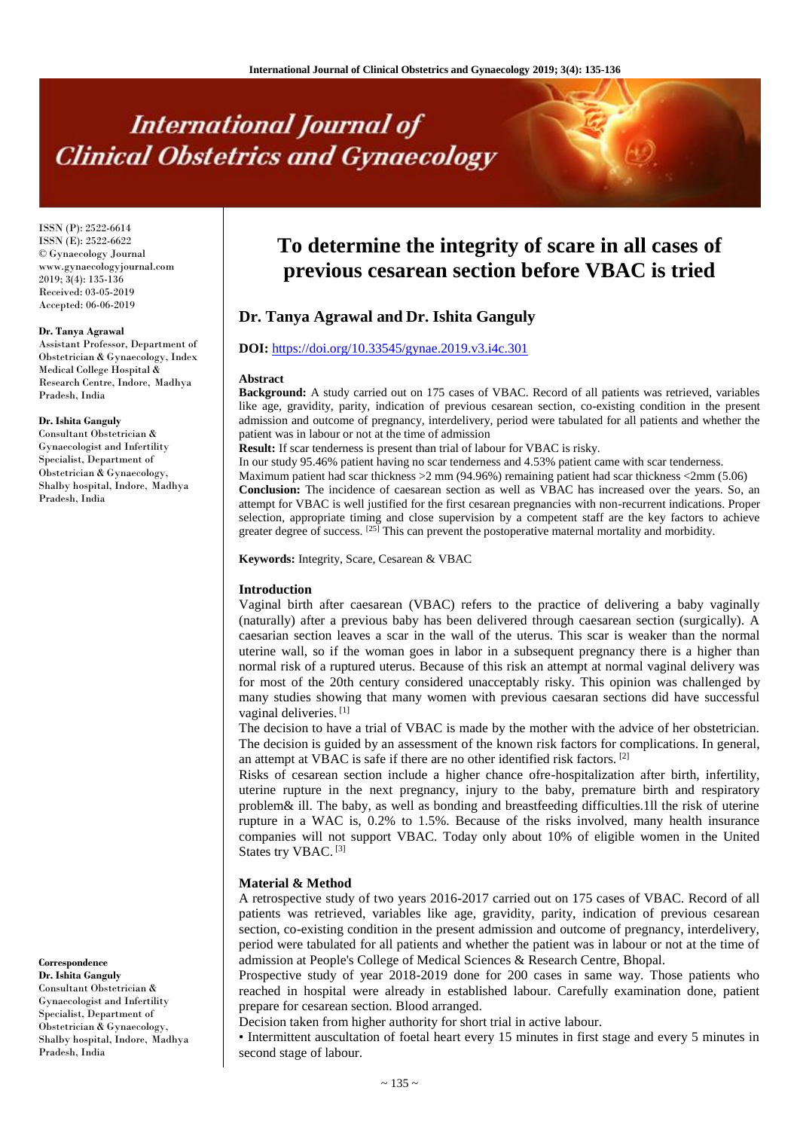# **International Journal of Clinical Obstetrics and Gynaecology**

ISSN (P): 2522-6614 ISSN (E): 2522-6622 © Gynaecology Journal www.gynaecologyjournal.com 2019; 3(4): 135-136 Received: 03-05-2019 Accepted: 06-06-2019

#### **Dr. Tanya Agrawal**

Assistant Professor, Department of Obstetrician & Gynaecology, Index Medical College Hospital & Research Centre, Indore, Madhya Pradesh, India

#### **Dr. Ishita Ganguly**

Consultant Obstetrician & Gynaecologist and Infertility Specialist, Department of Obstetrician & Gynaecology, Shalby hospital, Indore, Madhya Pradesh, India

#### **Correspondence**

**Dr. Ishita Ganguly** Consultant Obstetrician & Gynaecologist and Infertility Specialist, Department of Obstetrician & Gynaecology, Shalby hospital, Indore, Madhya Pradesh, India

## **To determine the integrity of scare in all cases of previous cesarean section before VBAC is tried**

### **Dr. Tanya Agrawal and Dr. Ishita Ganguly**

#### **DOI:** <https://doi.org/10.33545/gynae.2019.v3.i4c.301>

#### **Abstract**

**Background:** A study carried out on 175 cases of VBAC. Record of all patients was retrieved, variables like age, gravidity, parity, indication of previous cesarean section, co-existing condition in the present admission and outcome of pregnancy, interdelivery, period were tabulated for all patients and whether the patient was in labour or not at the time of admission

**Result:** If scar tenderness is present than trial of labour for VBAC is risky.

In our study 95.46% patient having no scar tenderness and 4.53% patient came with scar tenderness.

Maximum patient had scar thickness >2 mm (94.96%) remaining patient had scar thickness <2mm (5.06) **Conclusion:** The incidence of caesarean section as well as VBAC has increased over the years. So, an attempt for VBAC is well justified for the first cesarean pregnancies with non-recurrent indications. Proper selection, appropriate timing and close supervision by a competent staff are the key factors to achieve greater degree of success.  $[25]$  This can prevent the postoperative maternal mortality and morbidity.

**Keywords:** Integrity, Scare, Cesarean & VBAC

#### **Introduction**

Vaginal birth after caesarean (VBAC) refers to the practice of delivering a baby vaginally (naturally) after a previous baby has been delivered through caesarean section (surgically). A caesarian section leaves a scar in the wall of the uterus. This scar is weaker than the normal uterine wall, so if the woman goes in labor in a subsequent pregnancy there is a higher than normal risk of a ruptured uterus. Because of this risk an attempt at normal vaginal delivery was for most of the 20th century considered unacceptably risky. This opinion was challenged by many studies showing that many women with previous caesaran sections did have successful vaginal deliveries. [1]

The decision to have a trial of VBAC is made by the mother with the advice of her obstetrician. The decision is guided by an assessment of the known risk factors for complications. In general, an attempt at VBAC is safe if there are no other identified risk factors. [2]

Risks of cesarean section include a higher chance ofre-hospitalization after birth, infertility, uterine rupture in the next pregnancy, injury to the baby, premature birth and respiratory problem& ill. The baby, as well as bonding and breastfeeding difficulties.1ll the risk of uterine rupture in a WAC is, 0.2% to 1.5%. Because of the risks involved, many health insurance companies will not support VBAC. Today only about 10% of eligible women in the United States try VBAC.<sup>[3]</sup>

#### **Material & Method**

A retrospective study of two years 2016-2017 carried out on 175 cases of VBAC. Record of all patients was retrieved, variables like age, gravidity, parity, indication of previous cesarean section, co-existing condition in the present admission and outcome of pregnancy, interdelivery, period were tabulated for all patients and whether the patient was in labour or not at the time of admission at People's College of Medical Sciences & Research Centre, Bhopal.

Prospective study of year 2018-2019 done for 200 cases in same way. Those patients who reached in hospital were already in established labour. Carefully examination done, patient prepare for cesarean section. Blood arranged.

Decision taken from higher authority for short trial in active labour.

• Intermittent auscultation of foetal heart every 15 minutes in first stage and every 5 minutes in second stage of labour.